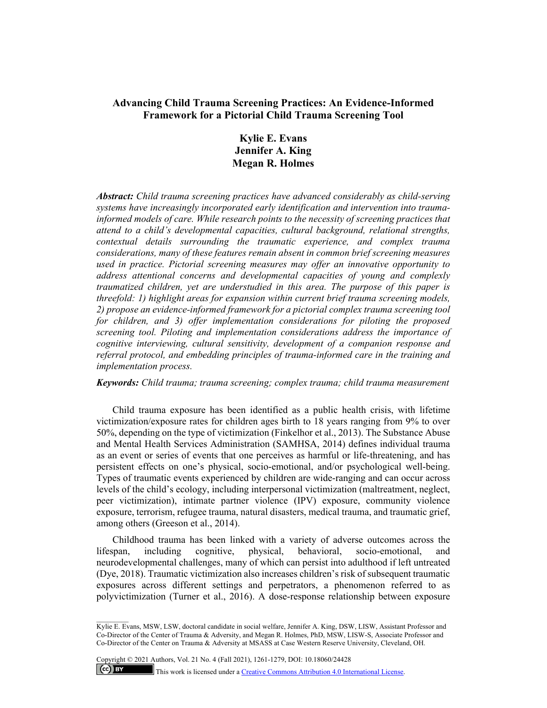# **Advancing Child Trauma Screening Practices: An Evidence-Informed Framework for a Pictorial Child Trauma Screening Tool**

# **Kylie E. Evans Jennifer A. King Megan R. Holmes**

*Abstract: Child trauma screening practices have advanced considerably as child-serving systems have increasingly incorporated early identification and intervention into traumainformed models of care. While research points to the necessity of screening practices that attend to a child's developmental capacities, cultural background, relational strengths, contextual details surrounding the traumatic experience, and complex trauma considerations, many of these features remain absent in common brief screening measures used in practice. Pictorial screening measures may offer an innovative opportunity to address attentional concerns and developmental capacities of young and complexly traumatized children, yet are understudied in this area. The purpose of this paper is threefold: 1) highlight areas for expansion within current brief trauma screening models, 2) propose an evidence-informed framework for a pictorial complex trauma screening tool for children, and 3) offer implementation considerations for piloting the proposed screening tool. Piloting and implementation considerations address the importance of cognitive interviewing, cultural sensitivity, development of a companion response and referral protocol, and embedding principles of trauma-informed care in the training and implementation process.* 

*Keywords: Child trauma; trauma screening; complex trauma; child trauma measurement*

Child trauma exposure has been identified as a public health crisis, with lifetime victimization/exposure rates for children ages birth to 18 years ranging from 9% to over 50%, depending on the type of victimization (Finkelhor et al., 2013). The Substance Abuse and Mental Health Services Administration (SAMHSA, 2014) defines individual trauma as an event or series of events that one perceives as harmful or life-threatening, and has persistent effects on one's physical, socio-emotional, and/or psychological well-being. Types of traumatic events experienced by children are wide-ranging and can occur across levels of the child's ecology, including interpersonal victimization (maltreatment, neglect, peer victimization), intimate partner violence (IPV) exposure, community violence exposure, terrorism, refugee trauma, natural disasters, medical trauma, and traumatic grief, among others (Greeson et al., 2014).

Childhood trauma has been linked with a variety of adverse outcomes across the lifespan, including cognitive, physical, behavioral, socio-emotional, and neurodevelopmental challenges, many of which can persist into adulthood if left untreated (Dye, 2018). Traumatic victimization also increases children's risk of subsequent traumatic exposures across different settings and perpetrators, a phenomenon referred to as polyvictimization (Turner et al., 2016). A dose-response relationship between exposure

Copyright © 2021 Authors, Vol. 21 No. 4 (Fall 2021), 1261-1279, DOI: 10.18060/24428  $(cc)$  BY This work is licensed under a Creative Commons Attribution 4.0 International License.

Kylie E. Evans, MSW, LSW, doctoral candidate in social welfare, Jennifer A. King, DSW, LISW, Assistant Professor and Co-Director of the Center of Trauma & Adversity, and Megan R. Holmes, PhD, MSW, LISW-S, Associate Professor and Co-Director of the Center on Trauma & Adversity at MSASS at Case Western Reserve University, Cleveland, OH.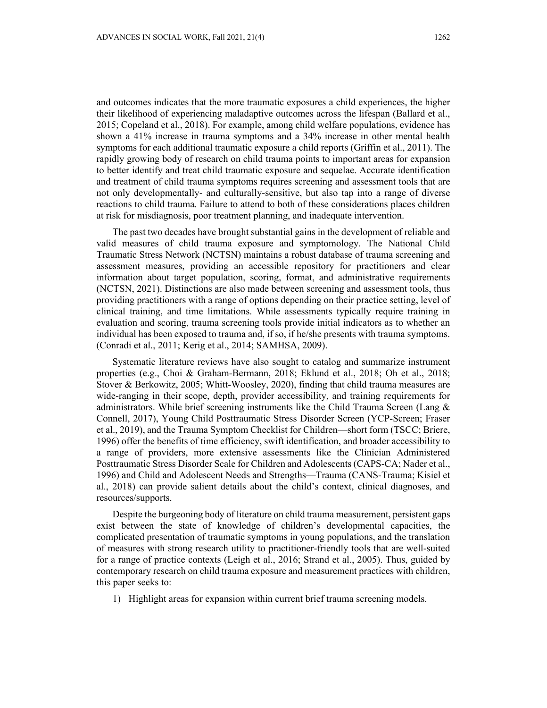and outcomes indicates that the more traumatic exposures a child experiences, the higher their likelihood of experiencing maladaptive outcomes across the lifespan (Ballard et al., 2015; Copeland et al., 2018). For example, among child welfare populations, evidence has shown a 41% increase in trauma symptoms and a 34% increase in other mental health symptoms for each additional traumatic exposure a child reports (Griffin et al., 2011). The rapidly growing body of research on child trauma points to important areas for expansion to better identify and treat child traumatic exposure and sequelae. Accurate identification and treatment of child trauma symptoms requires screening and assessment tools that are not only developmentally- and culturally-sensitive, but also tap into a range of diverse reactions to child trauma. Failure to attend to both of these considerations places children at risk for misdiagnosis, poor treatment planning, and inadequate intervention.

The past two decades have brought substantial gains in the development of reliable and valid measures of child trauma exposure and symptomology. The National Child Traumatic Stress Network (NCTSN) maintains a robust database of trauma screening and assessment measures, providing an accessible repository for practitioners and clear information about target population, scoring, format, and administrative requirements (NCTSN, 2021). Distinctions are also made between screening and assessment tools, thus providing practitioners with a range of options depending on their practice setting, level of clinical training, and time limitations. While assessments typically require training in evaluation and scoring, trauma screening tools provide initial indicators as to whether an individual has been exposed to trauma and, if so, if he/she presents with trauma symptoms. (Conradi et al., 2011; Kerig et al., 2014; SAMHSA, 2009).

Systematic literature reviews have also sought to catalog and summarize instrument properties (e.g., Choi & Graham-Bermann, 2018; Eklund et al., 2018; Oh et al., 2018; Stover & Berkowitz, 2005; Whitt-Woosley, 2020), finding that child trauma measures are wide-ranging in their scope, depth, provider accessibility, and training requirements for administrators. While brief screening instruments like the Child Trauma Screen (Lang & Connell, 2017), Young Child Posttraumatic Stress Disorder Screen (YCP-Screen; Fraser et al., 2019), and the Trauma Symptom Checklist for Children—short form (TSCC; Briere, 1996) offer the benefits of time efficiency, swift identification, and broader accessibility to a range of providers, more extensive assessments like the Clinician Administered Posttraumatic Stress Disorder Scale for Children and Adolescents (CAPS-CA; Nader et al., 1996) and Child and Adolescent Needs and Strengths—Trauma (CANS-Trauma; Kisiel et al., 2018) can provide salient details about the child's context, clinical diagnoses, and resources/supports.

Despite the burgeoning body of literature on child trauma measurement, persistent gaps exist between the state of knowledge of children's developmental capacities, the complicated presentation of traumatic symptoms in young populations, and the translation of measures with strong research utility to practitioner-friendly tools that are well-suited for a range of practice contexts (Leigh et al., 2016; Strand et al., 2005). Thus, guided by contemporary research on child trauma exposure and measurement practices with children, this paper seeks to:

1) Highlight areas for expansion within current brief trauma screening models.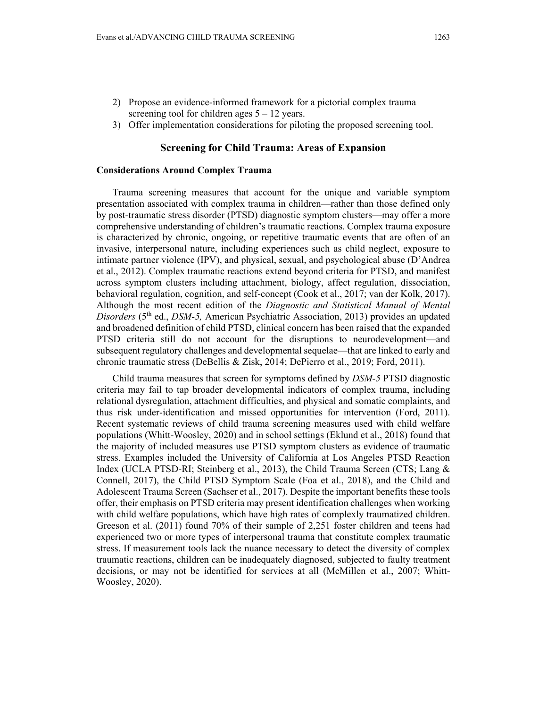- 2) Propose an evidence-informed framework for a pictorial complex trauma screening tool for children ages  $5 - 12$  years.
- 3) Offer implementation considerations for piloting the proposed screening tool.

### **Screening for Child Trauma: Areas of Expansion**

#### **Considerations Around Complex Trauma**

Trauma screening measures that account for the unique and variable symptom presentation associated with complex trauma in children—rather than those defined only by post-traumatic stress disorder (PTSD) diagnostic symptom clusters—may offer a more comprehensive understanding of children's traumatic reactions. Complex trauma exposure is characterized by chronic, ongoing, or repetitive traumatic events that are often of an invasive, interpersonal nature, including experiences such as child neglect, exposure to intimate partner violence (IPV), and physical, sexual, and psychological abuse (D'Andrea et al., 2012). Complex traumatic reactions extend beyond criteria for PTSD, and manifest across symptom clusters including attachment, biology, affect regulation, dissociation, behavioral regulation, cognition, and self-concept (Cook et al., 2017; van der Kolk, 2017). Although the most recent edition of the *Diagnostic and Statistical Manual of Mental Disorders* (5th ed., *DSM-5,* American Psychiatric Association, 2013) provides an updated and broadened definition of child PTSD, clinical concern has been raised that the expanded PTSD criteria still do not account for the disruptions to neurodevelopment—and subsequent regulatory challenges and developmental sequelae—that are linked to early and chronic traumatic stress (DeBellis & Zisk, 2014; DePierro et al., 2019; Ford, 2011).

Child trauma measures that screen for symptoms defined by *DSM-5* PTSD diagnostic criteria may fail to tap broader developmental indicators of complex trauma, including relational dysregulation, attachment difficulties, and physical and somatic complaints, and thus risk under-identification and missed opportunities for intervention (Ford, 2011). Recent systematic reviews of child trauma screening measures used with child welfare populations (Whitt-Woosley, 2020) and in school settings (Eklund et al., 2018) found that the majority of included measures use PTSD symptom clusters as evidence of traumatic stress. Examples included the University of California at Los Angeles PTSD Reaction Index (UCLA PTSD-RI; Steinberg et al., 2013), the Child Trauma Screen (CTS; Lang & Connell, 2017), the Child PTSD Symptom Scale (Foa et al., 2018), and the Child and Adolescent Trauma Screen (Sachser et al., 2017). Despite the important benefits these tools offer, their emphasis on PTSD criteria may present identification challenges when working with child welfare populations, which have high rates of complexly traumatized children. Greeson et al. (2011) found 70% of their sample of 2,251 foster children and teens had experienced two or more types of interpersonal trauma that constitute complex traumatic stress. If measurement tools lack the nuance necessary to detect the diversity of complex traumatic reactions, children can be inadequately diagnosed, subjected to faulty treatment decisions, or may not be identified for services at all (McMillen et al., 2007; Whitt-Woosley, 2020).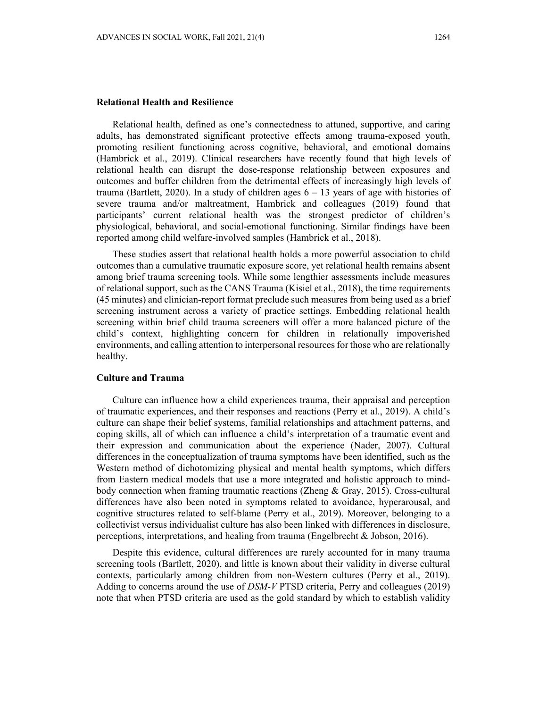#### **Relational Health and Resilience**

Relational health, defined as one's connectedness to attuned, supportive, and caring adults, has demonstrated significant protective effects among trauma-exposed youth, promoting resilient functioning across cognitive, behavioral, and emotional domains (Hambrick et al., 2019). Clinical researchers have recently found that high levels of relational health can disrupt the dose-response relationship between exposures and outcomes and buffer children from the detrimental effects of increasingly high levels of trauma (Bartlett, 2020). In a study of children ages  $6 - 13$  years of age with histories of severe trauma and/or maltreatment, Hambrick and colleagues (2019) found that participants' current relational health was the strongest predictor of children's physiological, behavioral, and social-emotional functioning. Similar findings have been reported among child welfare-involved samples (Hambrick et al., 2018).

These studies assert that relational health holds a more powerful association to child outcomes than a cumulative traumatic exposure score, yet relational health remains absent among brief trauma screening tools. While some lengthier assessments include measures of relational support, such as the CANS Trauma (Kisiel et al., 2018), the time requirements (45 minutes) and clinician-report format preclude such measures from being used as a brief screening instrument across a variety of practice settings. Embedding relational health screening within brief child trauma screeners will offer a more balanced picture of the child's context, highlighting concern for children in relationally impoverished environments, and calling attention to interpersonal resources for those who are relationally healthy.

### **Culture and Trauma**

Culture can influence how a child experiences trauma, their appraisal and perception of traumatic experiences, and their responses and reactions (Perry et al., 2019). A child's culture can shape their belief systems, familial relationships and attachment patterns, and coping skills, all of which can influence a child's interpretation of a traumatic event and their expression and communication about the experience (Nader, 2007). Cultural differences in the conceptualization of trauma symptoms have been identified, such as the Western method of dichotomizing physical and mental health symptoms, which differs from Eastern medical models that use a more integrated and holistic approach to mindbody connection when framing traumatic reactions (Zheng & Gray, 2015). Cross-cultural differences have also been noted in symptoms related to avoidance, hyperarousal, and cognitive structures related to self-blame (Perry et al., 2019). Moreover, belonging to a collectivist versus individualist culture has also been linked with differences in disclosure, perceptions, interpretations, and healing from trauma (Engelbrecht & Jobson, 2016).

Despite this evidence, cultural differences are rarely accounted for in many trauma screening tools (Bartlett, 2020), and little is known about their validity in diverse cultural contexts, particularly among children from non-Western cultures (Perry et al., 2019). Adding to concerns around the use of *DSM-V* PTSD criteria, Perry and colleagues (2019) note that when PTSD criteria are used as the gold standard by which to establish validity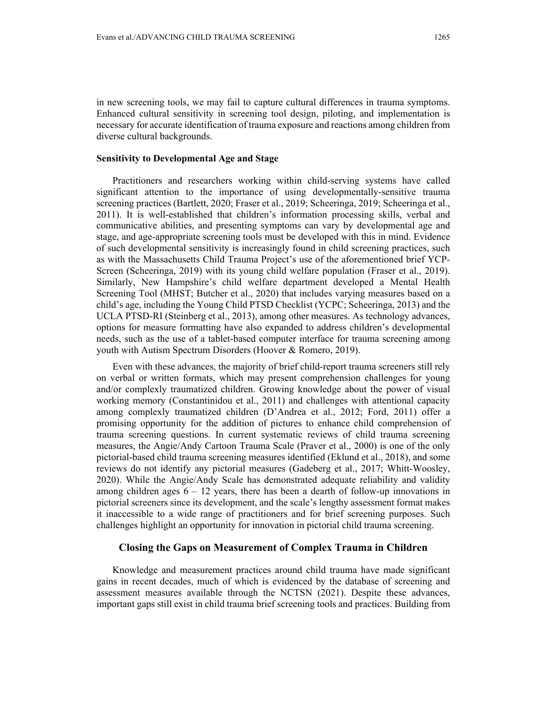in new screening tools, we may fail to capture cultural differences in trauma symptoms. Enhanced cultural sensitivity in screening tool design, piloting, and implementation is necessary for accurate identification of trauma exposure and reactions among children from diverse cultural backgrounds.

#### **Sensitivity to Developmental Age and Stage**

Practitioners and researchers working within child-serving systems have called significant attention to the importance of using developmentally-sensitive trauma screening practices (Bartlett, 2020; Fraser et al., 2019; Scheeringa, 2019; Scheeringa et al., 2011). It is well-established that children's information processing skills, verbal and communicative abilities, and presenting symptoms can vary by developmental age and stage, and age-appropriate screening tools must be developed with this in mind. Evidence of such developmental sensitivity is increasingly found in child screening practices, such as with the Massachusetts Child Trauma Project's use of the aforementioned brief YCP-Screen (Scheeringa, 2019) with its young child welfare population (Fraser et al., 2019). Similarly, New Hampshire's child welfare department developed a Mental Health Screening Tool (MHST; Butcher et al., 2020) that includes varying measures based on a child's age, including the Young Child PTSD Checklist (YCPC; Scheeringa, 2013) and the UCLA PTSD-RI (Steinberg et al., 2013), among other measures. As technology advances, options for measure formatting have also expanded to address children's developmental needs, such as the use of a tablet-based computer interface for trauma screening among youth with Autism Spectrum Disorders (Hoover & Romero, 2019).

Even with these advances, the majority of brief child-report trauma screeners still rely on verbal or written formats, which may present comprehension challenges for young and/or complexly traumatized children. Growing knowledge about the power of visual working memory (Constantinidou et al., 2011) and challenges with attentional capacity among complexly traumatized children (D'Andrea et al., 2012; Ford, 2011) offer a promising opportunity for the addition of pictures to enhance child comprehension of trauma screening questions. In current systematic reviews of child trauma screening measures, the Angie/Andy Cartoon Trauma Scale (Praver et al., 2000) is one of the only pictorial-based child trauma screening measures identified (Eklund et al., 2018), and some reviews do not identify any pictorial measures (Gadeberg et al., 2017; Whitt-Woosley, 2020). While the Angie/Andy Scale has demonstrated adequate reliability and validity among children ages  $6 - 12$  years, there has been a dearth of follow-up innovations in pictorial screeners since its development, and the scale's lengthy assessment format makes it inaccessible to a wide range of practitioners and for brief screening purposes. Such challenges highlight an opportunity for innovation in pictorial child trauma screening.

#### **Closing the Gaps on Measurement of Complex Trauma in Children**

Knowledge and measurement practices around child trauma have made significant gains in recent decades, much of which is evidenced by the database of screening and assessment measures available through the NCTSN (2021). Despite these advances, important gaps still exist in child trauma brief screening tools and practices. Building from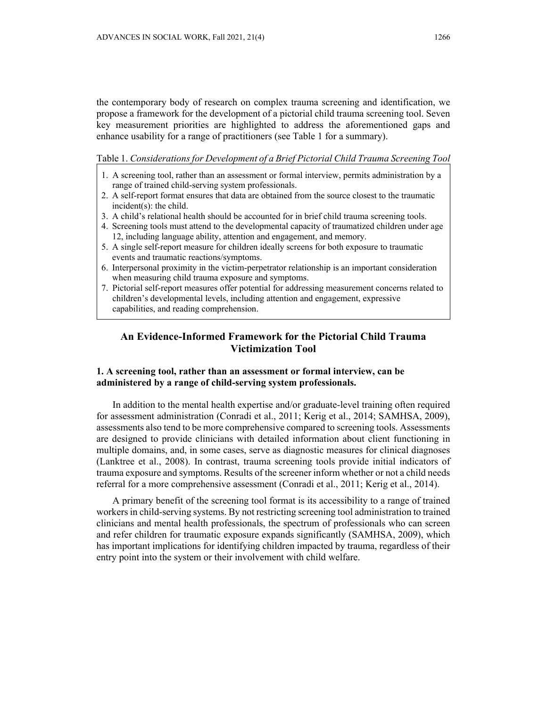the contemporary body of research on complex trauma screening and identification, we propose a framework for the development of a pictorial child trauma screening tool. Seven key measurement priorities are highlighted to address the aforementioned gaps and enhance usability for a range of practitioners (see Table 1 for a summary).

Table 1. *Considerations for Development of a Brief Pictorial Child Trauma Screening Tool* 

- 1. A screening tool, rather than an assessment or formal interview, permits administration by a range of trained child-serving system professionals.
- 2. A self-report format ensures that data are obtained from the source closest to the traumatic incident(s): the child.
- 3. A child's relational health should be accounted for in brief child trauma screening tools.
- 4. Screening tools must attend to the developmental capacity of traumatized children under age 12, including language ability, attention and engagement, and memory.
- 5. A single self-report measure for children ideally screens for both exposure to traumatic events and traumatic reactions/symptoms.
- 6. Interpersonal proximity in the victim-perpetrator relationship is an important consideration when measuring child trauma exposure and symptoms.
- 7. Pictorial self-report measures offer potential for addressing measurement concerns related to children's developmental levels, including attention and engagement, expressive capabilities, and reading comprehension.

# **An Evidence-Informed Framework for the Pictorial Child Trauma Victimization Tool**

# **1. A screening tool, rather than an assessment or formal interview, can be administered by a range of child-serving system professionals.**

In addition to the mental health expertise and/or graduate-level training often required for assessment administration (Conradi et al., 2011; Kerig et al., 2014; SAMHSA, 2009), assessments also tend to be more comprehensive compared to screening tools. Assessments are designed to provide clinicians with detailed information about client functioning in multiple domains, and, in some cases, serve as diagnostic measures for clinical diagnoses (Lanktree et al., 2008). In contrast, trauma screening tools provide initial indicators of trauma exposure and symptoms. Results of the screener inform whether or not a child needs referral for a more comprehensive assessment (Conradi et al., 2011; Kerig et al., 2014).

A primary benefit of the screening tool format is its accessibility to a range of trained workers in child-serving systems. By not restricting screening tool administration to trained clinicians and mental health professionals, the spectrum of professionals who can screen and refer children for traumatic exposure expands significantly (SAMHSA, 2009), which has important implications for identifying children impacted by trauma, regardless of their entry point into the system or their involvement with child welfare.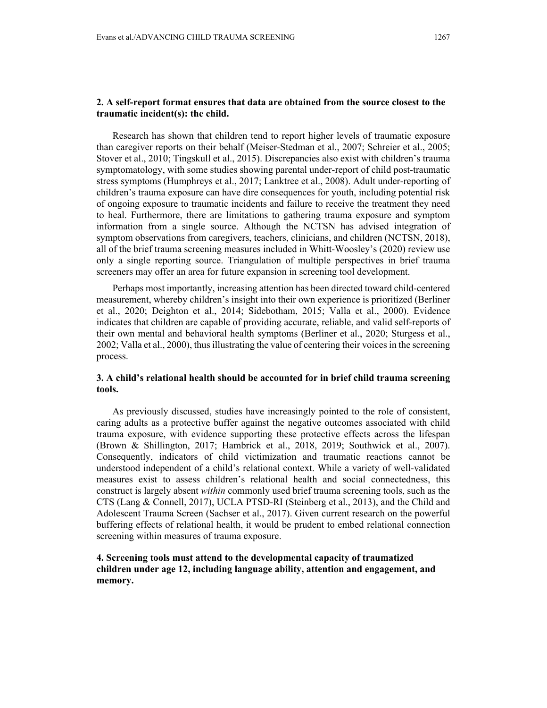### **2. A self-report format ensures that data are obtained from the source closest to the traumatic incident(s): the child.**

Research has shown that children tend to report higher levels of traumatic exposure than caregiver reports on their behalf (Meiser-Stedman et al., 2007; Schreier et al., 2005; Stover et al., 2010; Tingskull et al., 2015). Discrepancies also exist with children's trauma symptomatology, with some studies showing parental under-report of child post-traumatic stress symptoms (Humphreys et al., 2017; Lanktree et al., 2008). Adult under-reporting of children's trauma exposure can have dire consequences for youth, including potential risk of ongoing exposure to traumatic incidents and failure to receive the treatment they need to heal. Furthermore, there are limitations to gathering trauma exposure and symptom information from a single source. Although the NCTSN has advised integration of symptom observations from caregivers, teachers, clinicians, and children (NCTSN, 2018), all of the brief trauma screening measures included in Whitt-Woosley's (2020) review use only a single reporting source. Triangulation of multiple perspectives in brief trauma screeners may offer an area for future expansion in screening tool development.

Perhaps most importantly, increasing attention has been directed toward child-centered measurement, whereby children's insight into their own experience is prioritized (Berliner et al., 2020; Deighton et al., 2014; Sidebotham, 2015; Valla et al., 2000). Evidence indicates that children are capable of providing accurate, reliable, and valid self-reports of their own mental and behavioral health symptoms (Berliner et al., 2020; Sturgess et al., 2002; Valla et al., 2000), thus illustrating the value of centering their voices in the screening process.

## **3. A child's relational health should be accounted for in brief child trauma screening tools.**

As previously discussed, studies have increasingly pointed to the role of consistent, caring adults as a protective buffer against the negative outcomes associated with child trauma exposure, with evidence supporting these protective effects across the lifespan (Brown & Shillington, 2017; Hambrick et al., 2018, 2019; Southwick et al., 2007). Consequently, indicators of child victimization and traumatic reactions cannot be understood independent of a child's relational context. While a variety of well-validated measures exist to assess children's relational health and social connectedness, this construct is largely absent *within* commonly used brief trauma screening tools, such as the CTS (Lang & Connell, 2017), UCLA PTSD-RI (Steinberg et al., 2013), and the Child and Adolescent Trauma Screen (Sachser et al., 2017). Given current research on the powerful buffering effects of relational health, it would be prudent to embed relational connection screening within measures of trauma exposure.

## **4. Screening tools must attend to the developmental capacity of traumatized children under age 12, including language ability, attention and engagement, and memory.**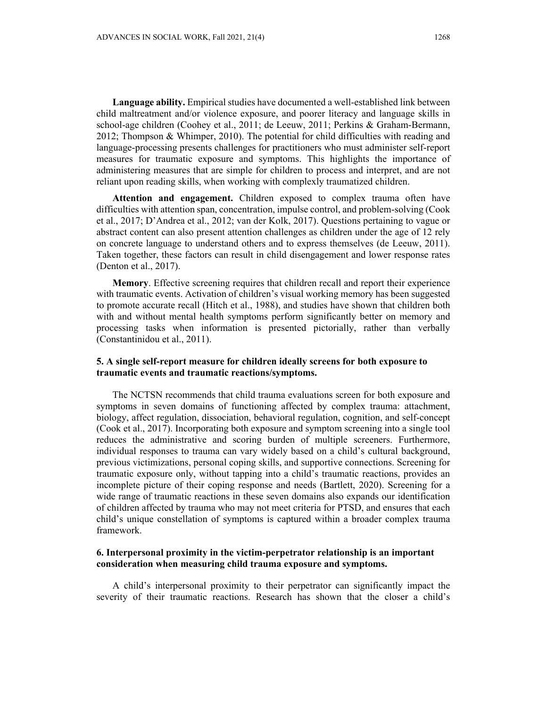**Language ability.** Empirical studies have documented a well-established link between child maltreatment and/or violence exposure, and poorer literacy and language skills in school-age children (Coohey et al., 2011; de Leeuw, 2011; Perkins & Graham-Bermann, 2012; Thompson & Whimper, 2010). The potential for child difficulties with reading and language-processing presents challenges for practitioners who must administer self-report measures for traumatic exposure and symptoms. This highlights the importance of administering measures that are simple for children to process and interpret, and are not reliant upon reading skills, when working with complexly traumatized children.

**Attention and engagement.** Children exposed to complex trauma often have difficulties with attention span, concentration, impulse control, and problem-solving (Cook et al., 2017; D'Andrea et al., 2012; van der Kolk, 2017). Questions pertaining to vague or abstract content can also present attention challenges as children under the age of 12 rely on concrete language to understand others and to express themselves (de Leeuw, 2011). Taken together, these factors can result in child disengagement and lower response rates (Denton et al., 2017).

**Memory**. Effective screening requires that children recall and report their experience with traumatic events. Activation of children's visual working memory has been suggested to promote accurate recall (Hitch et al., 1988), and studies have shown that children both with and without mental health symptoms perform significantly better on memory and processing tasks when information is presented pictorially, rather than verbally (Constantinidou et al., 2011).

## **5. A single self-report measure for children ideally screens for both exposure to traumatic events and traumatic reactions/symptoms.**

The NCTSN recommends that child trauma evaluations screen for both exposure and symptoms in seven domains of functioning affected by complex trauma: attachment, biology, affect regulation, dissociation, behavioral regulation, cognition, and self-concept (Cook et al., 2017). Incorporating both exposure and symptom screening into a single tool reduces the administrative and scoring burden of multiple screeners. Furthermore, individual responses to trauma can vary widely based on a child's cultural background, previous victimizations, personal coping skills, and supportive connections. Screening for traumatic exposure only, without tapping into a child's traumatic reactions, provides an incomplete picture of their coping response and needs (Bartlett, 2020). Screening for a wide range of traumatic reactions in these seven domains also expands our identification of children affected by trauma who may not meet criteria for PTSD, and ensures that each child's unique constellation of symptoms is captured within a broader complex trauma framework.

### **6. Interpersonal proximity in the victim-perpetrator relationship is an important consideration when measuring child trauma exposure and symptoms.**

A child's interpersonal proximity to their perpetrator can significantly impact the severity of their traumatic reactions. Research has shown that the closer a child's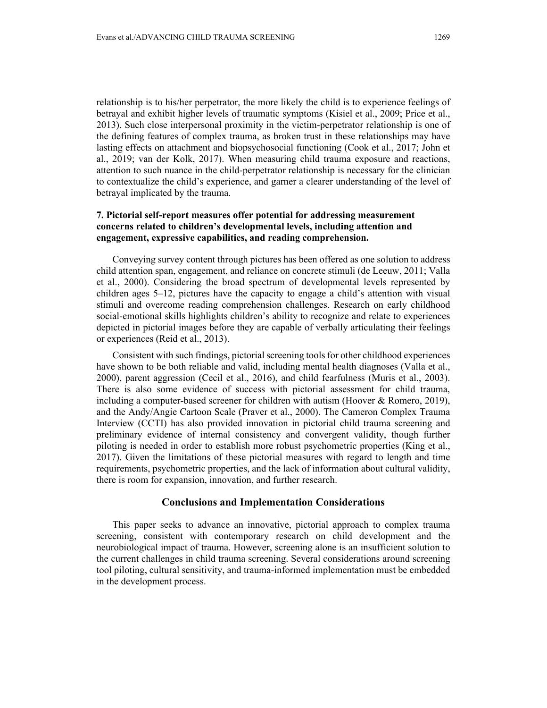relationship is to his/her perpetrator, the more likely the child is to experience feelings of betrayal and exhibit higher levels of traumatic symptoms (Kisiel et al., 2009; Price et al., 2013). Such close interpersonal proximity in the victim-perpetrator relationship is one of the defining features of complex trauma, as broken trust in these relationships may have lasting effects on attachment and biopsychosocial functioning (Cook et al., 2017; John et al., 2019; van der Kolk, 2017). When measuring child trauma exposure and reactions, attention to such nuance in the child-perpetrator relationship is necessary for the clinician to contextualize the child's experience, and garner a clearer understanding of the level of betrayal implicated by the trauma.

## **7. Pictorial self-report measures offer potential for addressing measurement concerns related to children's developmental levels, including attention and engagement, expressive capabilities, and reading comprehension.**

Conveying survey content through pictures has been offered as one solution to address child attention span, engagement, and reliance on concrete stimuli (de Leeuw, 2011; Valla et al., 2000). Considering the broad spectrum of developmental levels represented by children ages 5–12, pictures have the capacity to engage a child's attention with visual stimuli and overcome reading comprehension challenges. Research on early childhood social-emotional skills highlights children's ability to recognize and relate to experiences depicted in pictorial images before they are capable of verbally articulating their feelings or experiences (Reid et al., 2013).

Consistent with such findings, pictorial screening tools for other childhood experiences have shown to be both reliable and valid, including mental health diagnoses (Valla et al., 2000), parent aggression (Cecil et al., 2016), and child fearfulness (Muris et al., 2003). There is also some evidence of success with pictorial assessment for child trauma, including a computer-based screener for children with autism (Hoover & Romero, 2019), and the Andy/Angie Cartoon Scale (Praver et al., 2000). The Cameron Complex Trauma Interview (CCTI) has also provided innovation in pictorial child trauma screening and preliminary evidence of internal consistency and convergent validity, though further piloting is needed in order to establish more robust psychometric properties (King et al., 2017). Given the limitations of these pictorial measures with regard to length and time requirements, psychometric properties, and the lack of information about cultural validity, there is room for expansion, innovation, and further research.

#### **Conclusions and Implementation Considerations**

This paper seeks to advance an innovative, pictorial approach to complex trauma screening, consistent with contemporary research on child development and the neurobiological impact of trauma. However, screening alone is an insufficient solution to the current challenges in child trauma screening. Several considerations around screening tool piloting, cultural sensitivity, and trauma-informed implementation must be embedded in the development process.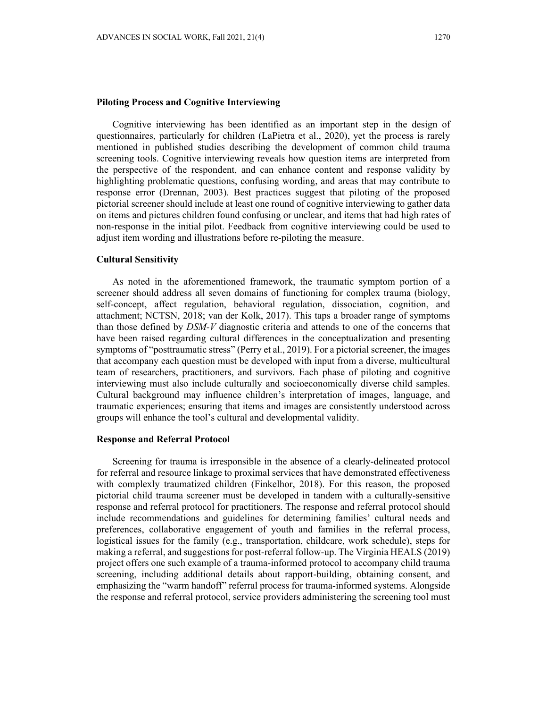#### **Piloting Process and Cognitive Interviewing**

Cognitive interviewing has been identified as an important step in the design of questionnaires, particularly for children (LaPietra et al., 2020), yet the process is rarely mentioned in published studies describing the development of common child trauma screening tools. Cognitive interviewing reveals how question items are interpreted from the perspective of the respondent, and can enhance content and response validity by highlighting problematic questions, confusing wording, and areas that may contribute to response error (Drennan, 2003). Best practices suggest that piloting of the proposed pictorial screener should include at least one round of cognitive interviewing to gather data on items and pictures children found confusing or unclear, and items that had high rates of non-response in the initial pilot. Feedback from cognitive interviewing could be used to adjust item wording and illustrations before re-piloting the measure.

#### **Cultural Sensitivity**

As noted in the aforementioned framework, the traumatic symptom portion of a screener should address all seven domains of functioning for complex trauma (biology, self-concept, affect regulation, behavioral regulation, dissociation, cognition, and attachment; NCTSN, 2018; van der Kolk, 2017). This taps a broader range of symptoms than those defined by *DSM-V* diagnostic criteria and attends to one of the concerns that have been raised regarding cultural differences in the conceptualization and presenting symptoms of "posttraumatic stress" (Perry et al., 2019). For a pictorial screener, the images that accompany each question must be developed with input from a diverse, multicultural team of researchers, practitioners, and survivors. Each phase of piloting and cognitive interviewing must also include culturally and socioeconomically diverse child samples. Cultural background may influence children's interpretation of images, language, and traumatic experiences; ensuring that items and images are consistently understood across groups will enhance the tool's cultural and developmental validity.

#### **Response and Referral Protocol**

Screening for trauma is irresponsible in the absence of a clearly-delineated protocol for referral and resource linkage to proximal services that have demonstrated effectiveness with complexly traumatized children (Finkelhor, 2018). For this reason, the proposed pictorial child trauma screener must be developed in tandem with a culturally-sensitive response and referral protocol for practitioners. The response and referral protocol should include recommendations and guidelines for determining families' cultural needs and preferences, collaborative engagement of youth and families in the referral process, logistical issues for the family (e.g., transportation, childcare, work schedule), steps for making a referral, and suggestions for post-referral follow-up. The Virginia HEALS (2019) project offers one such example of a trauma-informed protocol to accompany child trauma screening, including additional details about rapport-building, obtaining consent, and emphasizing the "warm handoff" referral process for trauma-informed systems. Alongside the response and referral protocol, service providers administering the screening tool must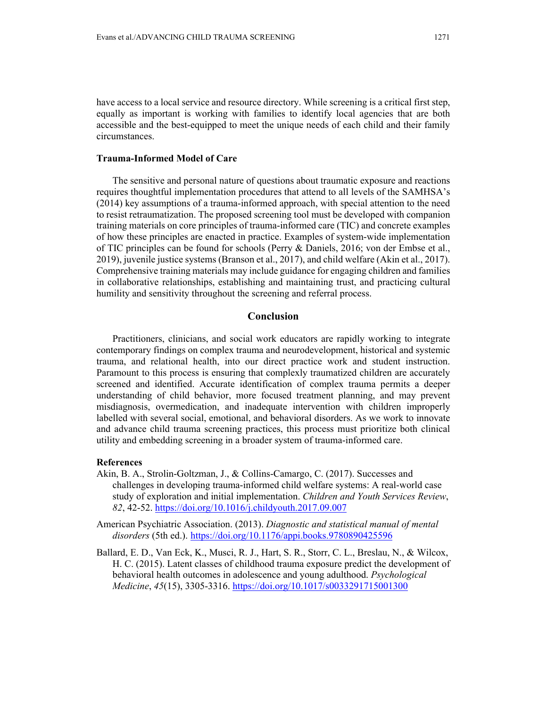have access to a local service and resource directory. While screening is a critical first step, equally as important is working with families to identify local agencies that are both accessible and the best-equipped to meet the unique needs of each child and their family circumstances.

#### **Trauma-Informed Model of Care**

The sensitive and personal nature of questions about traumatic exposure and reactions requires thoughtful implementation procedures that attend to all levels of the SAMHSA's (2014) key assumptions of a trauma-informed approach, with special attention to the need to resist retraumatization. The proposed screening tool must be developed with companion training materials on core principles of trauma-informed care (TIC) and concrete examples of how these principles are enacted in practice. Examples of system-wide implementation of TIC principles can be found for schools (Perry & Daniels, 2016; von der Embse et al., 2019), juvenile justice systems (Branson et al., 2017), and child welfare (Akin et al., 2017). Comprehensive training materials may include guidance for engaging children and families in collaborative relationships, establishing and maintaining trust, and practicing cultural humility and sensitivity throughout the screening and referral process.

## **Conclusion**

Practitioners, clinicians, and social work educators are rapidly working to integrate contemporary findings on complex trauma and neurodevelopment, historical and systemic trauma, and relational health, into our direct practice work and student instruction. Paramount to this process is ensuring that complexly traumatized children are accurately screened and identified. Accurate identification of complex trauma permits a deeper understanding of child behavior, more focused treatment planning, and may prevent misdiagnosis, overmedication, and inadequate intervention with children improperly labelled with several social, emotional, and behavioral disorders. As we work to innovate and advance child trauma screening practices, this process must prioritize both clinical utility and embedding screening in a broader system of trauma-informed care.

#### **References**

- Akin, B. A., Strolin-Goltzman, J., & Collins-Camargo, C. (2017). Successes and challenges in developing trauma-informed child welfare systems: A real-world case study of exploration and initial implementation. *Children and Youth Services Review*, *82*, 42-52. https://doi.org/10.1016/j.childyouth.2017.09.007
- American Psychiatric Association. (2013). *Diagnostic and statistical manual of mental disorders* (5th ed.). https://doi.org/10.1176/appi.books.9780890425596
- Ballard, E. D., Van Eck, K., Musci, R. J., Hart, S. R., Storr, C. L., Breslau, N., & Wilcox, H. C. (2015). Latent classes of childhood trauma exposure predict the development of behavioral health outcomes in adolescence and young adulthood. *Psychological Medicine*, *45*(15), 3305-3316. https://doi.org/10.1017/s0033291715001300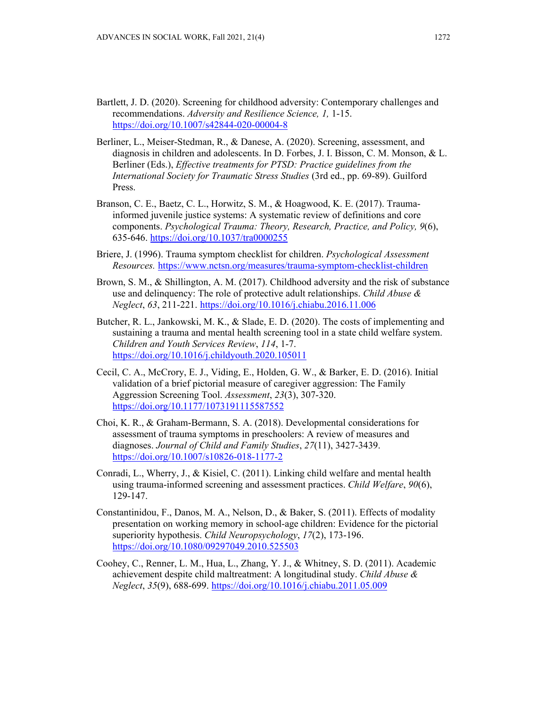- Bartlett, J. D. (2020). Screening for childhood adversity: Contemporary challenges and recommendations. *Adversity and Resilience Science, 1,* 1-15. https://doi.org/10.1007/s42844-020-00004-8
- Berliner, L., Meiser-Stedman, R., & Danese, A. (2020). Screening, assessment, and diagnosis in children and adolescents. In D. Forbes, J. I. Bisson, C. M. Monson, & L. Berliner (Eds.), *Effective treatments for PTSD: Practice guidelines from the International Society for Traumatic Stress Studies* (3rd ed., pp. 69-89). Guilford Press.
- Branson, C. E., Baetz, C. L., Horwitz, S. M., & Hoagwood, K. E. (2017). Traumainformed juvenile justice systems: A systematic review of definitions and core components. *Psychological Trauma: Theory, Research, Practice, and Policy, 9*(6), 635-646. https://doi.org/10.1037/tra0000255
- Briere, J. (1996). Trauma symptom checklist for children. *Psychological Assessment Resources.* https://www.nctsn.org/measures/trauma-symptom-checklist-children
- Brown, S. M., & Shillington, A. M. (2017). Childhood adversity and the risk of substance use and delinquency: The role of protective adult relationships. *Child Abuse & Neglect*, *63*, 211-221. https://doi.org/10.1016/j.chiabu.2016.11.006
- Butcher, R. L., Jankowski, M. K., & Slade, E. D. (2020). The costs of implementing and sustaining a trauma and mental health screening tool in a state child welfare system. *Children and Youth Services Review*, *114*, 1-7. https://doi.org/10.1016/j.childyouth.2020.105011
- Cecil, C. A., McCrory, E. J., Viding, E., Holden, G. W., & Barker, E. D. (2016). Initial validation of a brief pictorial measure of caregiver aggression: The Family Aggression Screening Tool. *Assessment*, *23*(3), 307-320. https://doi.org/10.1177/1073191115587552
- Choi, K. R., & Graham-Bermann, S. A. (2018). Developmental considerations for assessment of trauma symptoms in preschoolers: A review of measures and diagnoses. *Journal of Child and Family Studies*, *27*(11), 3427-3439. https://doi.org/10.1007/s10826-018-1177-2
- Conradi, L., Wherry, J., & Kisiel, C. (2011). Linking child welfare and mental health using trauma-informed screening and assessment practices. *Child Welfare*, *90*(6), 129-147.
- Constantinidou, F., Danos, M. A., Nelson, D., & Baker, S. (2011). Effects of modality presentation on working memory in school-age children: Evidence for the pictorial superiority hypothesis. *Child Neuropsychology*, *17*(2), 173-196. https://doi.org/10.1080/09297049.2010.525503
- Coohey, C., Renner, L. M., Hua, L., Zhang, Y. J., & Whitney, S. D. (2011). Academic achievement despite child maltreatment: A longitudinal study. *Child Abuse & Neglect*, *35*(9), 688-699. https://doi.org/10.1016/j.chiabu.2011.05.009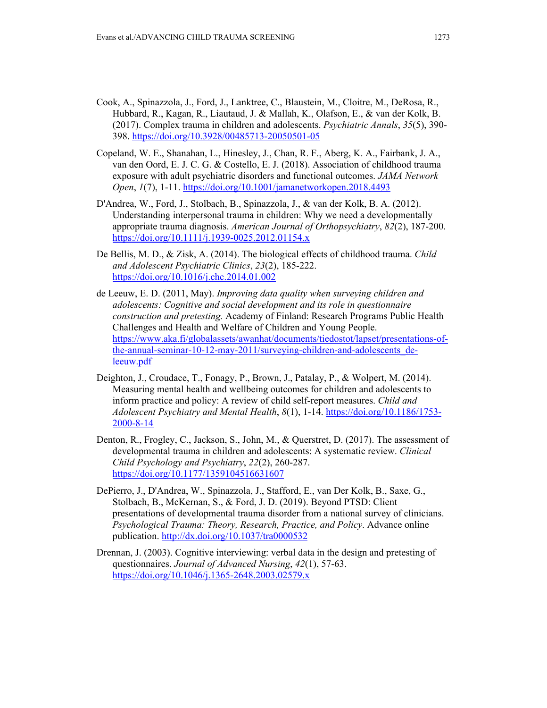- Cook, A., Spinazzola, J., Ford, J., Lanktree, C., Blaustein, M., Cloitre, M., DeRosa, R., Hubbard, R., Kagan, R., Liautaud, J. & Mallah, K., Olafson, E., & van der Kolk, B. (2017). Complex trauma in children and adolescents. *Psychiatric Annals*, *35*(5), 390- 398. https://doi.org/10.3928/00485713-20050501-05
- Copeland, W. E., Shanahan, L., Hinesley, J., Chan, R. F., Aberg, K. A., Fairbank, J. A., van den Oord, E. J. C. G. & Costello, E. J. (2018). Association of childhood trauma exposure with adult psychiatric disorders and functional outcomes. *JAMA Network Open*, *1*(7), 1-11. https://doi.org/10.1001/jamanetworkopen.2018.4493
- D'Andrea, W., Ford, J., Stolbach, B., Spinazzola, J., & van der Kolk, B. A. (2012). Understanding interpersonal trauma in children: Why we need a developmentally appropriate trauma diagnosis. *American Journal of Orthopsychiatry*, *82*(2), 187-200. https://doi.org/10.1111/j.1939-0025.2012.01154.x
- De Bellis, M. D., & Zisk, A. (2014). The biological effects of childhood trauma. *Child and Adolescent Psychiatric Clinics*, *23*(2), 185-222. https://doi.org/10.1016/j.chc.2014.01.002
- de Leeuw, E. D. (2011, May). *Improving data quality when surveying children and adolescents: Cognitive and social development and its role in questionnaire construction and pretesting.* Academy of Finland: Research Programs Public Health Challenges and Health and Welfare of Children and Young People. https://www.aka.fi/globalassets/awanhat/documents/tiedostot/lapset/presentations-ofthe-annual-seminar-10-12-may-2011/surveying-children-and-adolescents deleeuw.pdf
- Deighton, J., Croudace, T., Fonagy, P., Brown, J., Patalay, P., & Wolpert, M. (2014). Measuring mental health and wellbeing outcomes for children and adolescents to inform practice and policy: A review of child self-report measures. *Child and Adolescent Psychiatry and Mental Health*, *8*(1), 1-14. https://doi.org/10.1186/1753- 2000-8-14
- Denton, R., Frogley, C., Jackson, S., John, M., & Querstret, D. (2017). The assessment of developmental trauma in children and adolescents: A systematic review. *Clinical Child Psychology and Psychiatry*, *22*(2), 260-287. https://doi.org/10.1177/1359104516631607
- DePierro, J., D'Andrea, W., Spinazzola, J., Stafford, E., van Der Kolk, B., Saxe, G., Stolbach, B., McKernan, S., & Ford, J. D. (2019). Beyond PTSD: Client presentations of developmental trauma disorder from a national survey of clinicians. *Psychological Trauma: Theory, Research, Practice, and Policy*. Advance online publication. http://dx.doi.org/10.1037/tra0000532
- Drennan, J. (2003). Cognitive interviewing: verbal data in the design and pretesting of questionnaires. *Journal of Advanced Nursing*, *42*(1), 57-63. https://doi.org/10.1046/j.1365-2648.2003.02579.x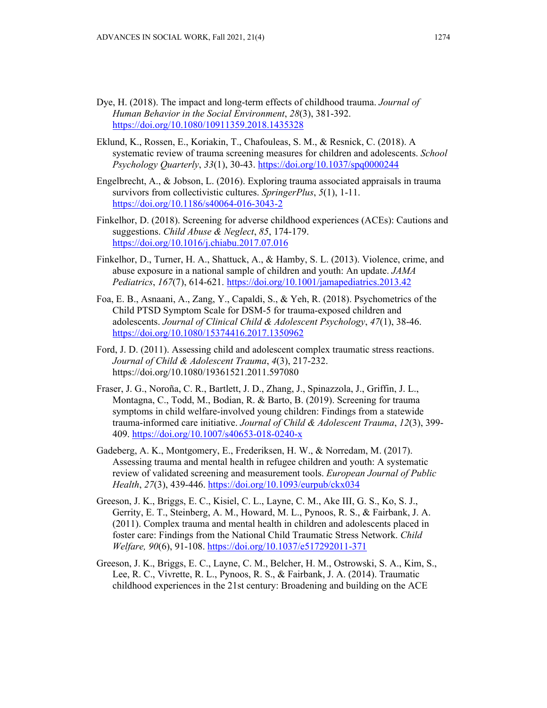- Dye, H. (2018). The impact and long-term effects of childhood trauma. *Journal of Human Behavior in the Social Environment*, *28*(3), 381-392. https://doi.org/10.1080/10911359.2018.1435328
- Eklund, K., Rossen, E., Koriakin, T., Chafouleas, S. M., & Resnick, C. (2018). A systematic review of trauma screening measures for children and adolescents. *School Psychology Quarterly*, *33*(1), 30-43. https://doi.org/10.1037/spq0000244
- Engelbrecht, A., & Jobson, L. (2016). Exploring trauma associated appraisals in trauma survivors from collectivistic cultures. *SpringerPlus*, *5*(1), 1-11. https://doi.org/10.1186/s40064-016-3043-2
- Finkelhor, D. (2018). Screening for adverse childhood experiences (ACEs): Cautions and suggestions. *Child Abuse & Neglect*, *85*, 174-179. https://doi.org/10.1016/j.chiabu.2017.07.016
- Finkelhor, D., Turner, H. A., Shattuck, A., & Hamby, S. L. (2013). Violence, crime, and abuse exposure in a national sample of children and youth: An update. *JAMA Pediatrics*, *167*(7), 614-621. https://doi.org/10.1001/jamapediatrics.2013.42
- Foa, E. B., Asnaani, A., Zang, Y., Capaldi, S., & Yeh, R. (2018). Psychometrics of the Child PTSD Symptom Scale for DSM-5 for trauma-exposed children and adolescents. *Journal of Clinical Child & Adolescent Psychology*, *47*(1), 38-46. https://doi.org/10.1080/15374416.2017.1350962
- Ford, J. D. (2011). Assessing child and adolescent complex traumatic stress reactions. *Journal of Child & Adolescent Trauma*, *4*(3), 217-232. https://doi.org/10.1080/19361521.2011.597080
- Fraser, J. G., Noroña, C. R., Bartlett, J. D., Zhang, J., Spinazzola, J., Griffin, J. L., Montagna, C., Todd, M., Bodian, R. & Barto, B. (2019). Screening for trauma symptoms in child welfare-involved young children: Findings from a statewide trauma-informed care initiative. *Journal of Child & Adolescent Trauma*, *12*(3), 399- 409. https://doi.org/10.1007/s40653-018-0240-x
- Gadeberg, A. K., Montgomery, E., Frederiksen, H. W., & Norredam, M. (2017). Assessing trauma and mental health in refugee children and youth: A systematic review of validated screening and measurement tools. *European Journal of Public Health*, *27*(3), 439-446. https://doi.org/10.1093/eurpub/ckx034
- Greeson, J. K., Briggs, E. C., Kisiel, C. L., Layne, C. M., Ake III, G. S., Ko, S. J., Gerrity, E. T., Steinberg, A. M., Howard, M. L., Pynoos, R. S., & Fairbank, J. A. (2011). Complex trauma and mental health in children and adolescents placed in foster care: Findings from the National Child Traumatic Stress Network. *Child Welfare, 90*(6), 91-108. https://doi.org/10.1037/e517292011-371
- Greeson, J. K., Briggs, E. C., Layne, C. M., Belcher, H. M., Ostrowski, S. A., Kim, S., Lee, R. C., Vivrette, R. L., Pynoos, R. S., & Fairbank, J. A. (2014). Traumatic childhood experiences in the 21st century: Broadening and building on the ACE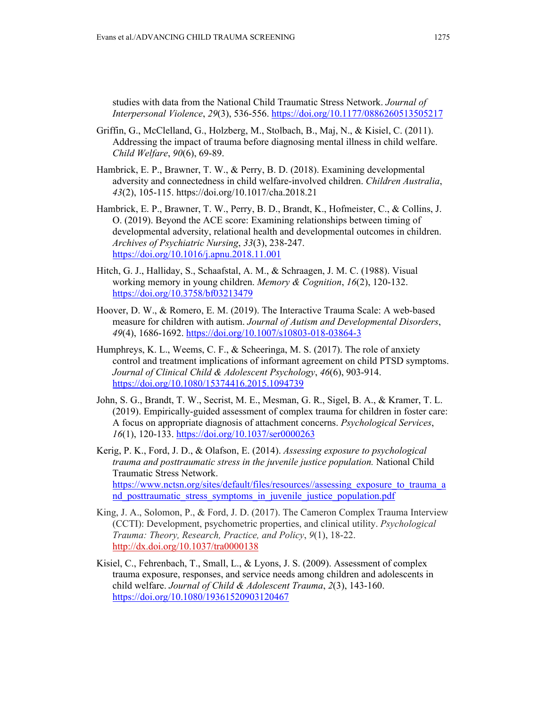studies with data from the National Child Traumatic Stress Network. *Journal of Interpersonal Violence*, *29*(3), 536-556. https://doi.org/10.1177/0886260513505217

- Griffin, G., McClelland, G., Holzberg, M., Stolbach, B., Maj, N., & Kisiel, C. (2011). Addressing the impact of trauma before diagnosing mental illness in child welfare. *Child Welfare*, *90*(6), 69-89.
- Hambrick, E. P., Brawner, T. W., & Perry, B. D. (2018). Examining developmental adversity and connectedness in child welfare-involved children. *Children Australia*, *43*(2), 105-115. https://doi.org/10.1017/cha.2018.21
- Hambrick, E. P., Brawner, T. W., Perry, B. D., Brandt, K., Hofmeister, C., & Collins, J. O. (2019). Beyond the ACE score: Examining relationships between timing of developmental adversity, relational health and developmental outcomes in children. *Archives of Psychiatric Nursing*, *33*(3), 238-247. https://doi.org/10.1016/j.apnu.2018.11.001
- Hitch, G. J., Halliday, S., Schaafstal, A. M., & Schraagen, J. M. C. (1988). Visual working memory in young children. *Memory & Cognition*, *16*(2), 120-132. https://doi.org/10.3758/bf03213479
- Hoover, D. W., & Romero, E. M. (2019). The Interactive Trauma Scale: A web-based measure for children with autism. *Journal of Autism and Developmental Disorders*, *49*(4), 1686-1692. https://doi.org/10.1007/s10803-018-03864-3
- Humphreys, K. L., Weems, C. F., & Scheeringa, M. S. (2017). The role of anxiety control and treatment implications of informant agreement on child PTSD symptoms. *Journal of Clinical Child & Adolescent Psychology*, *46*(6), 903-914. https://doi.org/10.1080/15374416.2015.1094739
- John, S. G., Brandt, T. W., Secrist, M. E., Mesman, G. R., Sigel, B. A., & Kramer, T. L. (2019). Empirically-guided assessment of complex trauma for children in foster care: A focus on appropriate diagnosis of attachment concerns. *Psychological Services*, *16*(1), 120-133. https://doi.org/10.1037/ser0000263
- Kerig, P. K., Ford, J. D., & Olafson, E. (2014). *Assessing exposure to psychological trauma and posttraumatic stress in the juvenile justice population.* National Child Traumatic Stress Network. https://www.nctsn.org/sites/default/files/resources//assessing\_exposure\_to\_trauma\_a nd posttraumatic stress symptoms in juvenile justice population.pdf
- King, J. A., Solomon, P., & Ford, J. D. (2017). The Cameron Complex Trauma Interview (CCTI): Development, psychometric properties, and clinical utility. *Psychological Trauma: Theory, Research, Practice, and Policy*, *9*(1), 18-22. http://dx.doi.org/10.1037/tra0000138
- Kisiel, C., Fehrenbach, T., Small, L., & Lyons, J. S. (2009). Assessment of complex trauma exposure, responses, and service needs among children and adolescents in child welfare. *Journal of Child & Adolescent Trauma*, *2*(3), 143-160. https://doi.org/10.1080/19361520903120467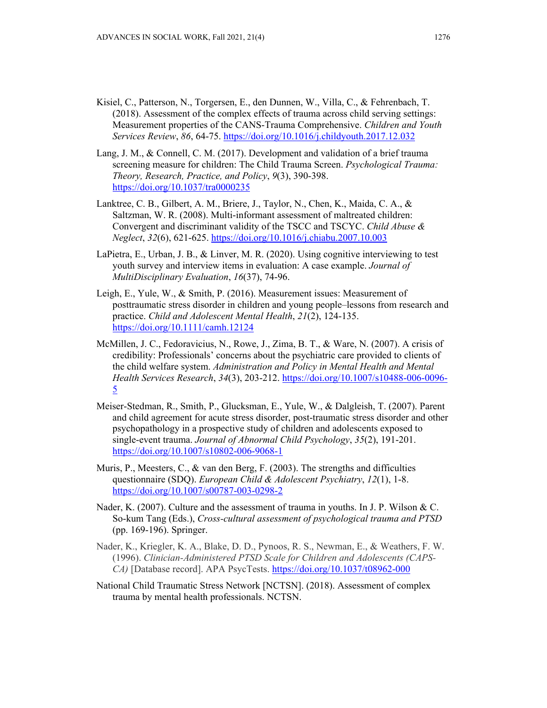- Kisiel, C., Patterson, N., Torgersen, E., den Dunnen, W., Villa, C., & Fehrenbach, T. (2018). Assessment of the complex effects of trauma across child serving settings: Measurement properties of the CANS-Trauma Comprehensive. *Children and Youth Services Review*, *86*, 64-75. https://doi.org/10.1016/j.childyouth.2017.12.032
- Lang, J. M., & Connell, C. M. (2017). Development and validation of a brief trauma screening measure for children: The Child Trauma Screen. *Psychological Trauma: Theory, Research, Practice, and Policy*, *9*(3), 390-398. https://doi.org/10.1037/tra0000235
- Lanktree, C. B., Gilbert, A. M., Briere, J., Taylor, N., Chen, K., Maida, C. A., & Saltzman, W. R. (2008). Multi-informant assessment of maltreated children: Convergent and discriminant validity of the TSCC and TSCYC. *Child Abuse & Neglect*, *32*(6), 621-625. https://doi.org/10.1016/j.chiabu.2007.10.003
- LaPietra, E., Urban, J. B., & Linver, M. R. (2020). Using cognitive interviewing to test youth survey and interview items in evaluation: A case example. *Journal of MultiDisciplinary Evaluation*, *16*(37), 74-96.
- Leigh, E., Yule, W., & Smith, P. (2016). Measurement issues: Measurement of posttraumatic stress disorder in children and young people–lessons from research and practice. *Child and Adolescent Mental Health*, *21*(2), 124-135. https://doi.org/10.1111/camh.12124
- McMillen, J. C., Fedoravicius, N., Rowe, J., Zima, B. T., & Ware, N. (2007). A crisis of credibility: Professionals' concerns about the psychiatric care provided to clients of the child welfare system. *Administration and Policy in Mental Health and Mental Health Services Research*, *34*(3), 203-212. https://doi.org/10.1007/s10488-006-0096- 5
- Meiser-Stedman, R., Smith, P., Glucksman, E., Yule, W., & Dalgleish, T. (2007). Parent and child agreement for acute stress disorder, post-traumatic stress disorder and other psychopathology in a prospective study of children and adolescents exposed to single-event trauma. *Journal of Abnormal Child Psychology*, *35*(2), 191-201. https://doi.org/10.1007/s10802-006-9068-1
- Muris, P., Meesters, C., & van den Berg, F. (2003). The strengths and difficulties questionnaire (SDQ). *European Child & Adolescent Psychiatry*, *12*(1), 1-8. https://doi.org/10.1007/s00787-003-0298-2
- Nader, K. (2007). Culture and the assessment of trauma in youths. In J. P. Wilson  $& C$ . So-kum Tang (Eds.), *Cross-cultural assessment of psychological trauma and PTSD* (pp. 169-196). Springer.
- Nader, K., Kriegler, K. A., Blake, D. D., Pynoos, R. S., Newman, E., & Weathers, F. W. (1996). *Clinician-Administered PTSD Scale for Children and Adolescents (CAPS-CA)* [Database record]. APA PsycTests. https://doi.org/10.1037/t08962-000
- National Child Traumatic Stress Network [NCTSN]. (2018). Assessment of complex trauma by mental health professionals. NCTSN.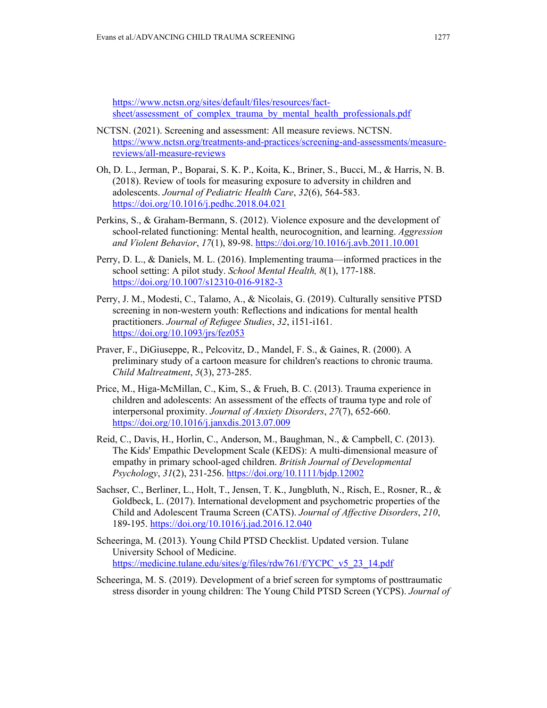https://www.nctsn.org/sites/default/files/resources/factsheet/assessment\_of\_complex\_trauma\_by\_mental\_health\_professionals.pdf

- NCTSN. (2021). Screening and assessment: All measure reviews. NCTSN. https://www.nctsn.org/treatments-and-practices/screening-and-assessments/measurereviews/all-measure-reviews
- Oh, D. L., Jerman, P., Boparai, S. K. P., Koita, K., Briner, S., Bucci, M., & Harris, N. B. (2018). Review of tools for measuring exposure to adversity in children and adolescents. *Journal of Pediatric Health Care*, *32*(6), 564-583. https://doi.org/10.1016/j.pedhc.2018.04.021
- Perkins, S., & Graham-Bermann, S. (2012). Violence exposure and the development of school-related functioning: Mental health, neurocognition, and learning. *Aggression and Violent Behavior*, *17*(1), 89-98. https://doi.org/10.1016/j.avb.2011.10.001
- Perry, D. L., & Daniels, M. L. (2016). Implementing trauma—informed practices in the school setting: A pilot study. *School Mental Health, 8*(1), 177-188. https://doi.org/10.1007/s12310-016-9182-3
- Perry, J. M., Modesti, C., Talamo, A., & Nicolais, G. (2019). Culturally sensitive PTSD screening in non-western youth: Reflections and indications for mental health practitioners. *Journal of Refugee Studies*, *32*, i151-i161. https://doi.org/10.1093/jrs/fez053
- Praver, F., DiGiuseppe, R., Pelcovitz, D., Mandel, F. S., & Gaines, R. (2000). A preliminary study of a cartoon measure for children's reactions to chronic trauma. *Child Maltreatment*, *5*(3), 273-285.
- Price, M., Higa-McMillan, C., Kim, S., & Frueh, B. C. (2013). Trauma experience in children and adolescents: An assessment of the effects of trauma type and role of interpersonal proximity. *Journal of Anxiety Disorders*, *27*(7), 652-660. https://doi.org/10.1016/j.janxdis.2013.07.009
- Reid, C., Davis, H., Horlin, C., Anderson, M., Baughman, N., & Campbell, C. (2013). The Kids' Empathic Development Scale (KEDS): A multi‐dimensional measure of empathy in primary school‐aged children. *British Journal of Developmental Psychology*, *31*(2), 231-256. https://doi.org/10.1111/bjdp.12002
- Sachser, C., Berliner, L., Holt, T., Jensen, T. K., Jungbluth, N., Risch, E., Rosner, R., & Goldbeck, L. (2017). International development and psychometric properties of the Child and Adolescent Trauma Screen (CATS). *Journal of Affective Disorders*, *210*, 189-195. https://doi.org/10.1016/j.jad.2016.12.040
- Scheeringa, M. (2013). Young Child PTSD Checklist. Updated version. Tulane University School of Medicine. https://medicine.tulane.edu/sites/g/files/rdw761/f/YCPC\_v5\_23\_14.pdf
- Scheeringa, M. S. (2019). Development of a brief screen for symptoms of posttraumatic stress disorder in young children: The Young Child PTSD Screen (YCPS). *Journal of*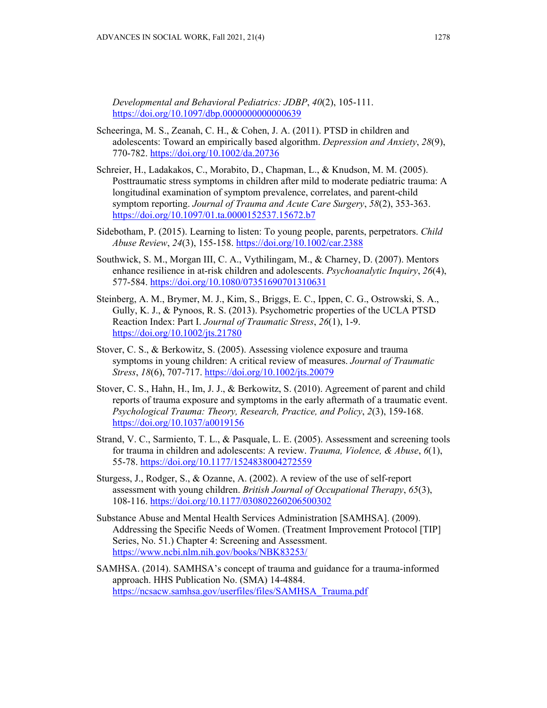*Developmental and Behavioral Pediatrics: JDBP*, *40*(2), 105-111. https://doi.org/10.1097/dbp.00000000000000639

- Scheeringa, M. S., Zeanah, C. H., & Cohen, J. A. (2011). PTSD in children and adolescents: Toward an empirically based algorithm. *Depression and Anxiety*, *28*(9), 770-782. https://doi.org/10.1002/da.20736
- Schreier, H., Ladakakos, C., Morabito, D., Chapman, L., & Knudson, M. M. (2005). Posttraumatic stress symptoms in children after mild to moderate pediatric trauma: A longitudinal examination of symptom prevalence, correlates, and parent-child symptom reporting. *Journal of Trauma and Acute Care Surgery*, *58*(2), 353-363. https://doi.org/10.1097/01.ta.0000152537.15672.b7
- Sidebotham, P. (2015). Learning to listen: To young people, parents, perpetrators. *Child Abuse Review*, *24*(3), 155-158. https://doi.org/10.1002/car.2388
- Southwick, S. M., Morgan III, C. A., Vythilingam, M., & Charney, D. (2007). Mentors enhance resilience in at-risk children and adolescents. *Psychoanalytic Inquiry*, *26*(4), 577-584. https://doi.org/10.1080/07351690701310631
- Steinberg, A. M., Brymer, M. J., Kim, S., Briggs, E. C., Ippen, C. G., Ostrowski, S. A., Gully, K. J., & Pynoos, R. S. (2013). Psychometric properties of the UCLA PTSD Reaction Index: Part I. *Journal of Traumatic Stress*, *26*(1), 1-9. https://doi.org/10.1002/jts.21780
- Stover, C. S., & Berkowitz, S. (2005). Assessing violence exposure and trauma symptoms in young children: A critical review of measures. *Journal of Traumatic Stress*, *18*(6), 707-717. https://doi.org/10.1002/jts.20079
- Stover, C. S., Hahn, H., Im, J. J., & Berkowitz, S. (2010). Agreement of parent and child reports of trauma exposure and symptoms in the early aftermath of a traumatic event. *Psychological Trauma: Theory, Research, Practice, and Policy*, *2*(3), 159-168. https://doi.org/10.1037/a0019156
- Strand, V. C., Sarmiento, T. L., & Pasquale, L. E. (2005). Assessment and screening tools for trauma in children and adolescents: A review. *Trauma, Violence, & Abuse*, *6*(1), 55-78. https://doi.org/10.1177/1524838004272559
- Sturgess, J., Rodger, S., & Ozanne, A. (2002). A review of the use of self-report assessment with young children. *British Journal of Occupational Therapy*, *65*(3), 108-116. https://doi.org/10.1177/030802260206500302
- Substance Abuse and Mental Health Services Administration [SAMHSA]. (2009). Addressing the Specific Needs of Women. (Treatment Improvement Protocol [TIP] Series, No. 51.) Chapter 4: Screening and Assessment. https://www.ncbi.nlm.nih.gov/books/NBK83253/
- SAMHSA. (2014). SAMHSA's concept of trauma and guidance for a trauma-informed approach. HHS Publication No. (SMA) 14-4884. https://ncsacw.samhsa.gov/userfiles/files/SAMHSA\_Trauma.pdf